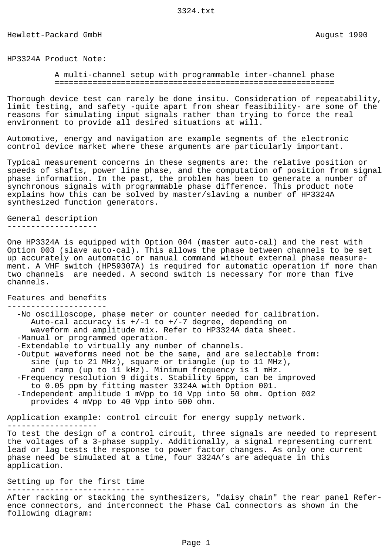Hewlett-Packard GmbH and August 1990

HP3324A Product Note:

 A multi-channel setup with programmable inter-channel phase ===========================================================

Thorough device test can rarely be done insitu. Consideration of repeatability, limit testing, and safety -quite apart from shear feasibility- are some of the reasons for simulating input signals rather than trying to force the real environment to provide all desired situations at will.

Automotive, energy and navigation are example segments of the electronic control device market where these arguments are particularly important.

Typical measurement concerns in these segments are: the relative position or speeds of shafts, power line phase, and the computation of position from signal phase information. In the past, the problem has been to generate a number of synchronous signals with programmable phase difference. This product note explains how this can be solved by master/slaving a number of HP3324A synthesized function generators.

General description -------------------

One HP3324A is equipped with Option 004 (master auto-cal) and the rest with Option 003 (slave auto-cal). This allows the phase between channels to be set up accurately on automatic or manual command without external phase measurement. A VHF switch (HP59307A) is required for automatic operation if more than two channels are needed. A second switch is necessary for more than five channels.

Features and benefits ---------------------

 -No oscilloscope, phase meter or counter needed for calibration. Auto-cal accuracy is  $+/-1$  to  $+/-7$  degree, depending on waveform and amplitude mix. Refer to HP3324A data sheet. -Manual or programmed operation. -Extendable to virtually any number of channels. -Output waveforms need not be the same, and are selectable from:

 sine (up to 21 MHz), square or triangle (up to 11 MHz), and ramp (up to 11 kHz). Minimum frequency is 1 mHz. -Frequency resolution 9 digits. Stability 5ppm, can be improved to 0.05 ppm by fitting master 3324A with Option 001. -Independent amplitude 1 mVpp to 10 Vpp into 50 ohm. Option 002 provides 4 mVpp to 40 Vpp into 500 ohm.

Application example: control circuit for energy supply network. ------------------- To test the design of a control circuit, three signals are needed to represent the voltages of a 3-phase supply. Additionally, a signal representing current lead or lag tests the response to power factor changes. As only one current phase need be simulated at a time, four 3324A's are adequate in this application.

## Setting up for the first time -----------------------------

After racking or stacking the synthesizers, "daisy chain" the rear panel Reference connectors, and interconnect the Phase Cal connectors as shown in the following diagram: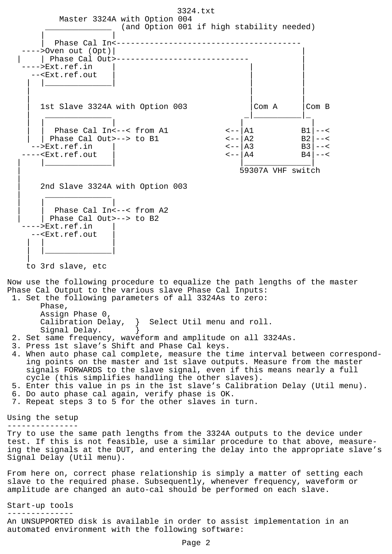3324.txt Master 3324A with Option 004 (and Option 001 if high stability needed) | | Phase Cal In<----------------------------------->Oven out (Opt)| | Phase Cal Out >--------------------------------->Ext.ref.in --<Ext.ref.out | |\_\_\_\_\_\_\_\_\_\_\_\_\_\_| | | | | | | | | | 1st Slave 3324A with Option 003 |Com A |Com B | \_\_\_\_\_\_\_\_\_\_\_\_\_\_ \_|\_\_\_\_\_\_\_\_\_\_|\_ | | | | |  $\text{Phase Cal In} < -< \text{from Al} \quad \text{<--|A1} \quad \text{B1} \mid -< \text{<--|A1}$ Phase Cal Out>--> to B1  $\textrm{C--}\begin{vmatrix} A2 & B2 \\ -\textrm{C}\end{vmatrix}$  --<<br>Fxt.ref.in |  $\textrm{C--}\begin{vmatrix} A2 & B2 \\ -\textrm{C}\end{vmatrix}$  --< -->Ext.ref.in | <--|A3 B3|--<<br>--<Ext.ref.out | <--|A4 B4|--< ----<Ext.ref.out | |\_\_\_\_\_\_\_\_\_\_\_\_\_\_| |\_\_\_\_\_\_\_\_\_\_\_\_\_\_| | 59307A VHF switch || || ||<br>|-2nd Slave 3324A with Option 003 | \_\_\_\_\_\_\_\_\_\_\_\_\_\_ | | | | | Phase Cal In<--< from A2 | Phase Cal Out>--> to B2 ---->Ext.ref.in | --<Ext.ref.out | | | | | |\_\_\_\_\_\_\_\_\_\_\_\_\_\_| | to 3rd slave, etc Now use the following procedure to equalize the path lengths of the master Phase Cal Output to the various slave Phase Cal Inputs: 1. Set the following parameters of all 3324As to zero: Phase, Assign Phase 0, Calibration Delay, } Select Util menu and roll. Signal Delay. } 2. Set same frequency, waveform and amplitude on all 3324As. 3. Press 1st slave's Shift and Phase Cal keys. 4. When auto phase cal complete, measure the time interval between correspond ing points on the master and 1st slave outputs. Measure from the master signals FORWARDS to the slave signal, even if this means nearly a full cycle (this simplifies handling the other slaves). 5. Enter this value in ps in the 1st slave's Calibration Delay (Util menu). 6. Do auto phase cal again, verify phase is OK. 7. Repeat steps 3 to 5 for the other slaves in turn. Using the setup --------------- Try to use the same path lengths from the 3324A outputs to the device under test. If this is not feasible, use a similar procedure to that above, measureing the signals at the DUT, and entering the delay into the appropriate slave's Signal Delay (Util menu). From here on, correct phase relationship is simply a matter of setting each slave to the required phase. Subsequently, whenever frequency, waveform or amplitude are changed an auto-cal should be performed on each slave. Start-up tools --------------

An UNSUPPORTED disk is available in order to assist implementation in an automated environment with the following software: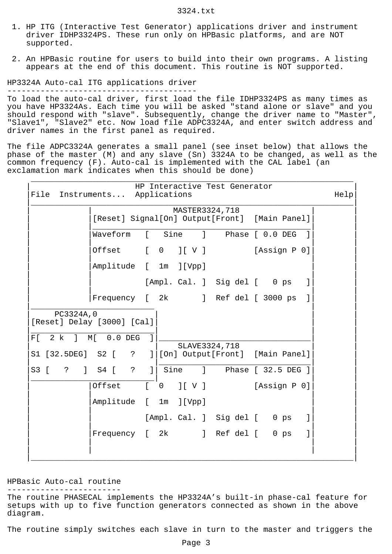- 1. HP ITG (Interactive Test Generator) applications driver and instrument driver IDHP3324PS. These run only on HPBasic platforms, and are NOT supported.
- 2. An HPBasic routine for users to build into their own programs. A listing appears at the end of this document. This routine is NOT supported.

HP3324A Auto-cal ITG applications driver

----------------------------------------

To load the auto-cal driver, first load the file IDHP3324PS as many times as you have HP3324As. Each time you will be asked "stand alone or slave" and you should respond with "slave". Subsequently, change the driver name to "Master", "Slave1", "Slave2" etc. Now load file ADPC3324A, and enter switch address and driver names in the first panel as required.

The file ADPC3324A generates a small panel (see inset below) that allows the phase of the master (M) and any slave (Sn) 3324A to be changed, as well as the common frequency (F). Auto-cal is implemented with the CAL label (an exclamation mark indicates when this should be done)

|                       | MASTER3324,718                                                                                                        |              |
|-----------------------|-----------------------------------------------------------------------------------------------------------------------|--------------|
|                       | [Reset] Signal[On] Output[Front] [Main Panel]                                                                         |              |
|                       | Waveform<br>$\Gamma$<br>Sine<br>$\mathbf{1}$<br>Phase [ 0.0 DEG                                                       |              |
|                       | $\begin{bmatrix} 0 & 0 \\ 0 & 0 \end{bmatrix} \begin{bmatrix} 0 & 0 \\ 0 & 0 \end{bmatrix}$<br>[Assign P 0]<br>Offset |              |
|                       | Amplitude [ 1m<br>] [ Vpp ]                                                                                           |              |
|                       | [Ampl. Cal. ] Sig del [ 0 ps                                                                                          | 1            |
|                       | Frequency [ 2k ] Ref del [ 3000 ps                                                                                    | $\mathbf{1}$ |
|                       |                                                                                                                       |              |
| PC3324A, 0<br>$2 k$ 1 | [Reset] Delay [3000] [Cal]<br>$\mathbf{1}$<br>$M[$ 0.0 DEG                                                            |              |
|                       | SLAVE3324,718<br>] [On] Output [Front] [Main Panel]<br>S1 [32.5DEG] S2 [ ?                                            |              |
|                       | S3 [ ? ] S4 [ ? ]<br>Sine ] Phase [ 32.5 DEG ]                                                                        |              |
|                       | $\mathbf{r}$<br>Offset<br>J[V]<br>[Assign P 0]<br>$\overline{0}$                                                      |              |
|                       | Amplitude [ 1m<br>] [ Vpp ]                                                                                           |              |
| F[                    | [Ampl. Cal. ] Sig del [ 0 ps                                                                                          | 1            |

## HPBasic Auto-cal routine

------------------------

The routine PHASECAL implements the HP3324A's built-in phase-cal feature for setups with up to five function generators connected as shown in the above diagram.

The routine simply switches each slave in turn to the master and triggers the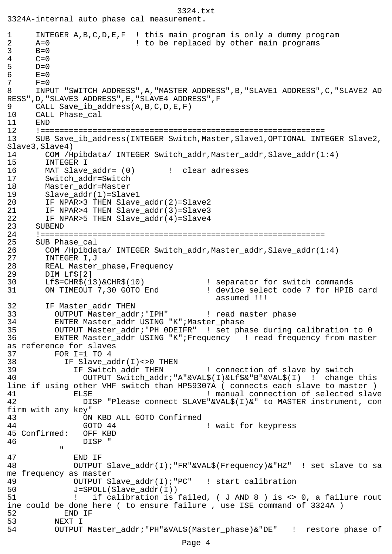```
3324.txt
3324A-internal auto phase cal measurement.
1 INTEGER A,B,C,D,E,F ! this main program is only a dummy program
2 A=0 <br>3 B=0 <br>1 to be replaced by other main programs
3 B=0<br>4 C=0C=05 D=0<br>6 E=0
6 E=0<br>7 F=0
     F=08 INPUT "SWITCH ADDRESS",A,"MASTER ADDRESS",B,"SLAVE1 ADDRESS",C,"SLAVE2 AD
RESS",D,"SLAVE3 ADDRESS",E,"SLAVE4 ADDRESS",F
9 CALL Save ib address(A,B,C,D,E,F)
10 CALL Phase_cal
11 END
12 !============================================================
13 SUB Save_ib_address(INTEGER Switch,Master,Slave1,OPTIONAL INTEGER Slave2,
Slave3,Slave4)
14 COM /Hpibdata/ INTEGER Switch addr, Master addr, Slave addr(1:4)
15 INTEGER I
16 MAT Slave addr= (0) [ clear adresses
17 Switch_addr=Switch
18 Master_addr=Master
19 Slave_addr(1)=Slave1<br>20 IF NPAR>3 THEN Slave
       20 IF NPAR>3 THEN Slave_addr(2)=Slave2
21 IF NPAR>4 THEN Slave_addr(3)=Slave3
22 IF NPAR>5 THEN Slave_addr(4)=Slave4
23 SUBEND
24 !============================================================
25 SUB Phase_cal
26 COM /Hpibdata/ INTEGER Switch addr, Master addr, Slave addr(1:4)
27 INTEGER I,J
28 REAL Master_phase,Frequency
29 DIM Lf$[2]
30 Lf$=CHR$(13)&CHR$(10) ! separator for switch commands
31 ON TIMEOUT 7,30 GOTO End ! device select code 7 for HPIB card
                                           assumed !!!
32 IF Master_addr THEN
33 OUTPUT Master_addr; "IPH" ! read master phase
34 ENTER Master_addr USING "K";Master_phase
35 OUTPUT Master_addr;"PH 0DEIFR" ! set phase during calibration to 0
36 ENTER Master_addr USING "K";Frequency ! read frequency from master
as reference for slaves
37 FOR I=1 TO 4
38 IF Slave_addr(I)<>0 THEN
39 IF Switch_addr THEN ! connection of slave by switch
40 OUTPUT Switch_addr;"A"&VAL$(I)&Lf$&"B"&VAL$(I) ! change this
line if using other VHF switch than HP59307A ( connects each slave to master )
41 ELSE ELSE 1 ELSE 1 ELSE ELSE 1 ELSE
42 DISP "Please connect SLAVE"&VAL$(I)&" to MASTER instrument, con
firm with any key"
43 ON KBD ALL GOTO Confirmed
44 GOTO 44 ! wait for keypress
45 Confirmed: OFF KBD
46 DISP "
" "The Contract of the Contract of the Contract of the Contract of the Contract of the Contract of the Contract of the Contract of the Contract of the Contract of the Contract of the Contract of the Contract of the Contrac
47 END IF
48 OUTPUT Slave_addr(I);"FR"&VAL$(Frequency)&"HZ" ! set slave to sa
me frequency as master
49 OUTPUT Slave_addr(I);"PC" ! start calibration
50 J=SPOLL(Slave_addr(I))
51 ! if calibration is failed, ( J AND 8 ) is <> 0, a failure rout
ine could be done here ( to ensure failure , use ISE command of 3324A )
52 END IF
53 NEXT I
54 OUTPUT Master_addr;"PH"&VAL$(Master_phase)&"DE" ! restore phase of
```